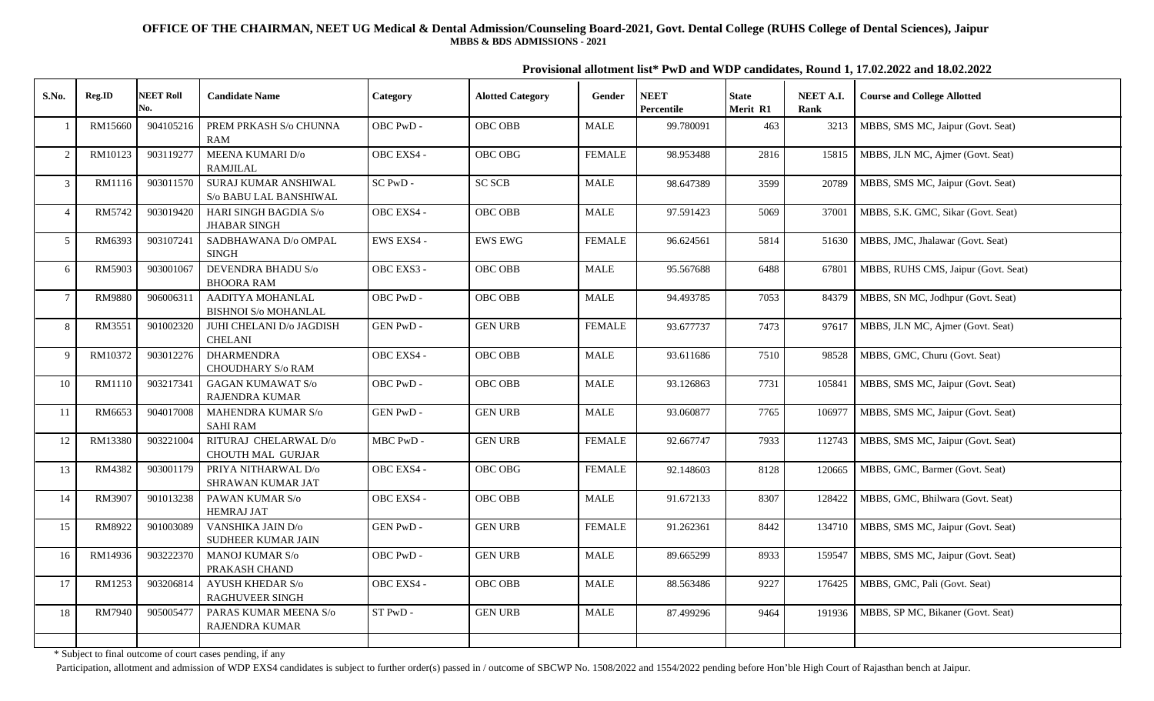**Provisional allotment list\* PwD and WDP candidates, Round 1, 17.02.2022 and 18.02.2022**

| S.No.          | Reg.ID        | <b>NEET Roll</b><br>No. | <b>Candidate Name</b>                             | Category    | <b>Alotted Category</b> | Gender        | <b>NEET</b><br>Percentile | <b>State</b><br>Merit R1 | NEET A.I.<br>Rank | <b>Course and College Allotted</b>  |
|----------------|---------------|-------------------------|---------------------------------------------------|-------------|-------------------------|---------------|---------------------------|--------------------------|-------------------|-------------------------------------|
| $\overline{1}$ | RM15660       | 904105216               | PREM PRKASH S/o CHUNNA<br>RAM                     | OBC PwD-    | <b>OBC OBB</b>          | <b>MALE</b>   | 99.780091                 | 463                      | 3213              | MBBS, SMS MC, Jaipur (Govt. Seat)   |
| 2              | RM10123       | 903119277               | <b>MEENA KUMARI D/o</b><br>RAMJILAL               | OBC EXS4 -  | OBC OBG                 | <b>FEMALE</b> | 98.953488                 | 2816                     | 15815             | MBBS, JLN MC, Ajmer (Govt. Seat)    |
| 3              | RM1116        | 903011570               | SURAJ KUMAR ANSHIWAL<br>S/o BABU LAL BANSHIWAL    | $SC P wD -$ | <b>SC SCB</b>           | <b>MALE</b>   | 98.647389                 | 3599                     | 20789             | MBBS, SMS MC, Jaipur (Govt. Seat)   |
| $\overline{4}$ | RM5742        | 903019420               | HARI SINGH BAGDIA S/o<br><b>JHABAR SINGH</b>      | OBC EXS4 -  | OBC OBB                 | <b>MALE</b>   | 97.591423                 | 5069                     | 37001             | MBBS, S.K. GMC, Sikar (Govt. Seat)  |
| 5              | RM6393        | 903107241               | SADBHAWANA D/o OMPAL<br><b>SINGH</b>              | EWS EXS4 -  | <b>EWS EWG</b>          | <b>FEMALE</b> | 96.624561                 | 5814                     | 51630             | MBBS, JMC, Jhalawar (Govt. Seat)    |
| 6              | RM5903        | 903001067               | DEVENDRA BHADU S/o<br><b>BHOORA RAM</b>           | OBC EXS3 -  | OBC OBB                 | <b>MALE</b>   | 95.567688                 | 6488                     | 67801             | MBBS, RUHS CMS, Jaipur (Govt. Seat) |
| $\overline{7}$ | <b>RM9880</b> | 906006311               | AADITYA MOHANLAL<br><b>BISHNOI S/o MOHANLAL</b>   | OBC PwD -   | OBC OBB                 | <b>MALE</b>   | 94.493785                 | 7053                     | 84379             | MBBS, SN MC, Jodhpur (Govt. Seat)   |
| 8              | RM3551        | 901002320               | JUHI CHELANI D/o JAGDISH<br><b>CHELANI</b>        | GEN PwD -   | <b>GEN URB</b>          | <b>FEMALE</b> | 93.677737                 | 7473                     | 97617             | MBBS, JLN MC, Ajmer (Govt. Seat)    |
| 9              | RM10372       | 903012276               | <b>DHARMENDRA</b><br><b>CHOUDHARY S/o RAM</b>     | OBC EXS4 -  | OBC OBB                 | <b>MALE</b>   | 93.611686                 | 7510                     | 98528             | MBBS, GMC, Churu (Govt. Seat)       |
| 10             | RM1110        | 903217341               | <b>GAGAN KUMAWAT S/o</b><br>RAJENDRA KUMAR        | OBC PwD -   | OBC OBB                 | <b>MALE</b>   | 93.126863                 | 7731                     | 105841            | MBBS, SMS MC, Jaipur (Govt. Seat)   |
| 11             | RM6653        | 904017008               | MAHENDRA KUMAR S/o<br><b>SAHI RAM</b>             | GEN PwD -   | <b>GEN URB</b>          | MALE          | 93.060877                 | 7765                     | 106977            | MBBS, SMS MC, Jaipur (Govt. Seat)   |
| 12             | RM13380       | 903221004               | RITURAJ CHELARWAL D/o<br>CHOUTH MAL GURJAR        | MBC PwD -   | <b>GEN URB</b>          | <b>FEMALE</b> | 92.667747                 | 7933                     | 112743            | MBBS, SMS MC, Jaipur (Govt. Seat)   |
| 13             | RM4382        | 903001179               | PRIYA NITHARWAL D/o<br>SHRAWAN KUMAR JAT          | OBC EXS4 -  | OBC OBG                 | <b>FEMALE</b> | 92.148603                 | 8128                     | 120665            | MBBS, GMC, Barmer (Govt. Seat)      |
| 14             | RM3907        | 901013238               | PAWAN KUMAR S/o<br><b>HEMRAJ JAT</b>              | OBC EXS4 -  | OBC OBB                 | <b>MALE</b>   | 91.672133                 | 8307                     | 128422            | MBBS, GMC, Bhilwara (Govt. Seat)    |
| 15             | RM8922        | 901003089               | VANSHIKA JAIN D/o<br>SUDHEER KUMAR JAIN           | GEN PwD -   | <b>GEN URB</b>          | <b>FEMALE</b> | 91.262361                 | 8442                     | 134710            | MBBS, SMS MC, Jaipur (Govt. Seat)   |
| 16             | RM14936       | 903222370               | <b>MANOJ KUMAR S/o</b><br>PRAKASH CHAND           | OBC PwD -   | <b>GEN URB</b>          | <b>MALE</b>   | 89.665299                 | 8933                     | 159547            | MBBS, SMS MC, Jaipur (Govt. Seat)   |
| 17             | RM1253        | 903206814               | <b>AYUSH KHEDAR S/o</b><br><b>RAGHUVEER SINGH</b> | OBC EXS4 -  | OBC OBB                 | <b>MALE</b>   | 88.563486                 | 9227                     | 176425            | MBBS, GMC, Pali (Govt. Seat)        |
| 18             | RM7940        | 905005477               | PARAS KUMAR MEENA S/o<br>RAJENDRA KUMAR           | ST PwD -    | <b>GEN URB</b>          | <b>MALE</b>   | 87.499296                 | 9464                     | 191936            | MBBS, SP MC, Bikaner (Govt. Seat)   |
|                |               |                         |                                                   |             |                         |               |                           |                          |                   |                                     |

\* Subject to final outcome of court cases pending, if any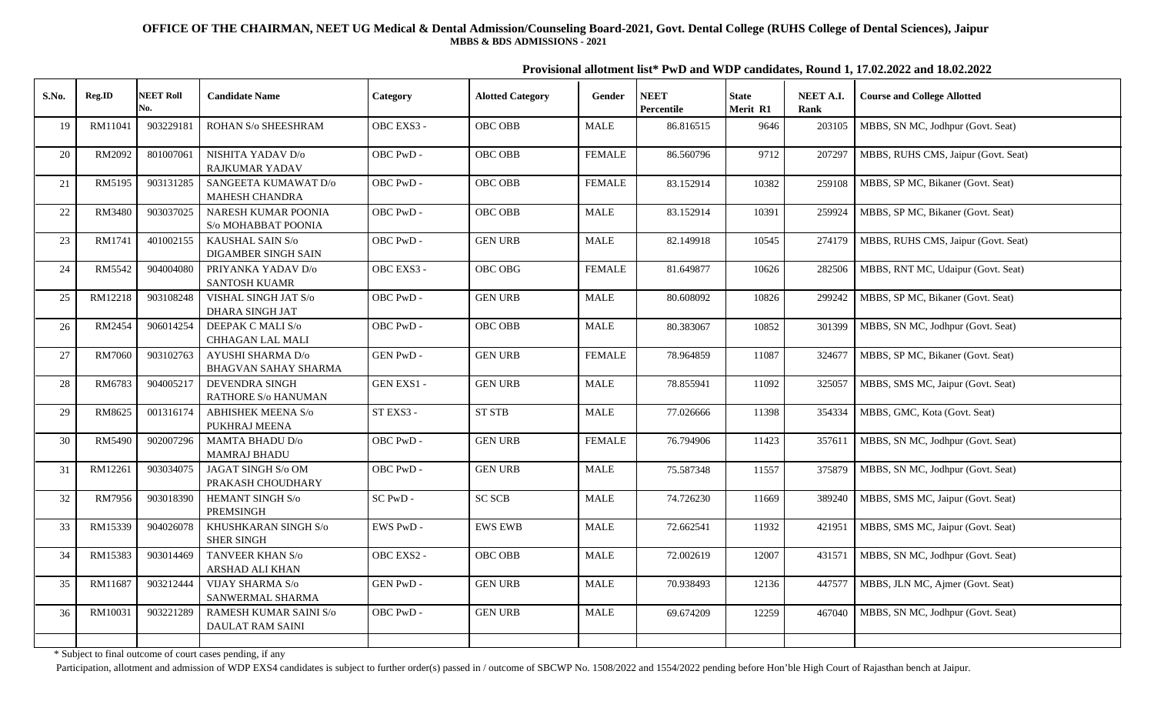**Provisional allotment list\* PwD and WDP candidates, Round 1, 17.02.2022 and 18.02.2022**

| S.No.  | Reg.ID  | <b>NEET Roll</b> | <b>Candidate Name</b>                            | Category    | <b>Alotted Category</b> | Gender        | <b>NEET</b> | <b>State</b> | NEET A.I. | <b>Course and College Allotted</b>  |
|--------|---------|------------------|--------------------------------------------------|-------------|-------------------------|---------------|-------------|--------------|-----------|-------------------------------------|
|        |         | No.              |                                                  |             |                         |               | Percentile  | Merit R1     | Rank      |                                     |
| 19     | RM11041 | 903229181        | ROHAN S/o SHEESHRAM                              | OBC EXS3 -  | OBC OBB                 | <b>MALE</b>   | 86.816515   | 9646         | 203105    | MBBS, SN MC, Jodhpur (Govt. Seat)   |
| 20     | RM2092  | 801007061        | NISHITA YADAV D/o<br><b>RAJKUMAR YADAV</b>       | OBC PwD -   | OBC OBB                 | <b>FEMALE</b> | 86.560796   | 9712         | 207297    | MBBS, RUHS CMS, Jaipur (Govt. Seat) |
| 21     | RM5195  | 903131285        | SANGEETA KUMAWAT D/o<br>MAHESH CHANDRA           | OBC PwD-    | OBC OBB                 | <b>FEMALE</b> | 83.152914   | 10382        | 259108    | MBBS, SP MC, Bikaner (Govt. Seat)   |
| $22\,$ | RM3480  | 903037025        | NARESH KUMAR POONIA<br>S/o MOHABBAT POONIA       | OBC PwD -   | OBC OBB                 | <b>MALE</b>   | 83.152914   | 10391        | 259924    | MBBS, SP MC, Bikaner (Govt. Seat)   |
| 23     | RM1741  | 401002155        | KAUSHAL SAIN S/o<br>DIGAMBER SINGH SAIN          | OBC PwD -   | <b>GEN URB</b>          | <b>MALE</b>   | 82.149918   | 10545        | 274179    | MBBS, RUHS CMS, Jaipur (Govt. Seat) |
| 24     | RM5542  | 904004080        | PRIYANKA YADAV D/o<br><b>SANTOSH KUAMR</b>       | OBC EXS3 -  | OBC OBG                 | <b>FEMALE</b> | 81.649877   | 10626        | 282506    | MBBS, RNT MC, Udaipur (Govt. Seat)  |
| 25     | RM12218 | 903108248        | VISHAL SINGH JAT S/o<br><b>DHARA SINGH JAT</b>   | OBC PwD -   | <b>GEN URB</b>          | <b>MALE</b>   | 80.608092   | 10826        | 299242    | MBBS, SP MC, Bikaner (Govt. Seat)   |
| 26     | RM2454  | 906014254        | DEEPAK C MALI S/o<br>CHHAGAN LAL MALI            | OBC PwD -   | OBC OBB                 | <b>MALE</b>   | 80.383067   | 10852        | 301399    | MBBS, SN MC, Jodhpur (Govt. Seat)   |
| $27\,$ | RM7060  | 903102763        | AYUSHI SHARMA D/o<br><b>BHAGVAN SAHAY SHARMA</b> | GEN PwD -   | <b>GEN URB</b>          | <b>FEMALE</b> | 78.964859   | 11087        | 324677    | MBBS, SP MC, Bikaner (Govt. Seat)   |
| $28\,$ | RM6783  | 904005217        | <b>DEVENDRA SINGH</b><br>RATHORE S/o HANUMAN     | GEN EXS1 -  | <b>GEN URB</b>          | <b>MALE</b>   | 78.855941   | 11092        | 325057    | MBBS, SMS MC, Jaipur (Govt. Seat)   |
| 29     | RM8625  | 001316174        | <b>ABHISHEK MEENA S/o</b><br>PUKHRAJ MEENA       | ST EXS3 -   | ${\rm ST}$ ${\rm STB}$  | <b>MALE</b>   | 77.026666   | 11398        | 354334    | MBBS, GMC, Kota (Govt. Seat)        |
| $30\,$ | RM5490  | 902007296        | <b>MAMTA BHADU D/o</b><br><b>MAMRAJ BHADU</b>    | OBC PwD -   | <b>GEN URB</b>          | <b>FEMALE</b> | 76.794906   | 11423        | 357611    | MBBS, SN MC, Jodhpur (Govt. Seat)   |
| 31     | RM12261 | 903034075        | JAGAT SINGH S/o OM<br>PRAKASH CHOUDHARY          | OBC PwD -   | <b>GEN URB</b>          | MALE          | 75.587348   | 11557        | 375879    | MBBS, SN MC, Jodhpur (Govt. Seat)   |
| 32     | RM7956  | 903018390        | HEMANT SINGH S/o<br>PREMSINGH                    | $SC P wD -$ | <b>SC SCB</b>           | MALE          | 74.726230   | 11669        | 389240    | MBBS, SMS MC, Jaipur (Govt. Seat)   |
| 33     | RM15339 | 904026078        | KHUSHKARAN SINGH S/o<br><b>SHER SINGH</b>        | EWS PwD -   | <b>EWS EWB</b>          | <b>MALE</b>   | 72.662541   | 11932        | 421951    | MBBS, SMS MC, Jaipur (Govt. Seat)   |
| 34     | RM15383 | 903014469        | TANVEER KHAN S/o<br>ARSHAD ALI KHAN              | OBC EXS2 -  | OBC OBB                 | <b>MALE</b>   | 72.002619   | 12007        | 431571    | MBBS, SN MC, Jodhpur (Govt. Seat)   |
| 35     | RM11687 | 903212444        | VIJAY SHARMA S/o<br>SANWERMAL SHARMA             | GEN PwD -   | <b>GEN URB</b>          | <b>MALE</b>   | 70.938493   | 12136        | 447577    | MBBS, JLN MC, Ajmer (Govt. Seat)    |
| 36     | RM10031 | 903221289        | RAMESH KUMAR SAINI S/o<br>DAULAT RAM SAINI       | OBC PwD -   | <b>GEN URB</b>          | <b>MALE</b>   | 69.674209   | 12259        | 467040    | MBBS, SN MC, Jodhpur (Govt. Seat)   |
|        |         |                  |                                                  |             |                         |               |             |              |           |                                     |

\* Subject to final outcome of court cases pending, if any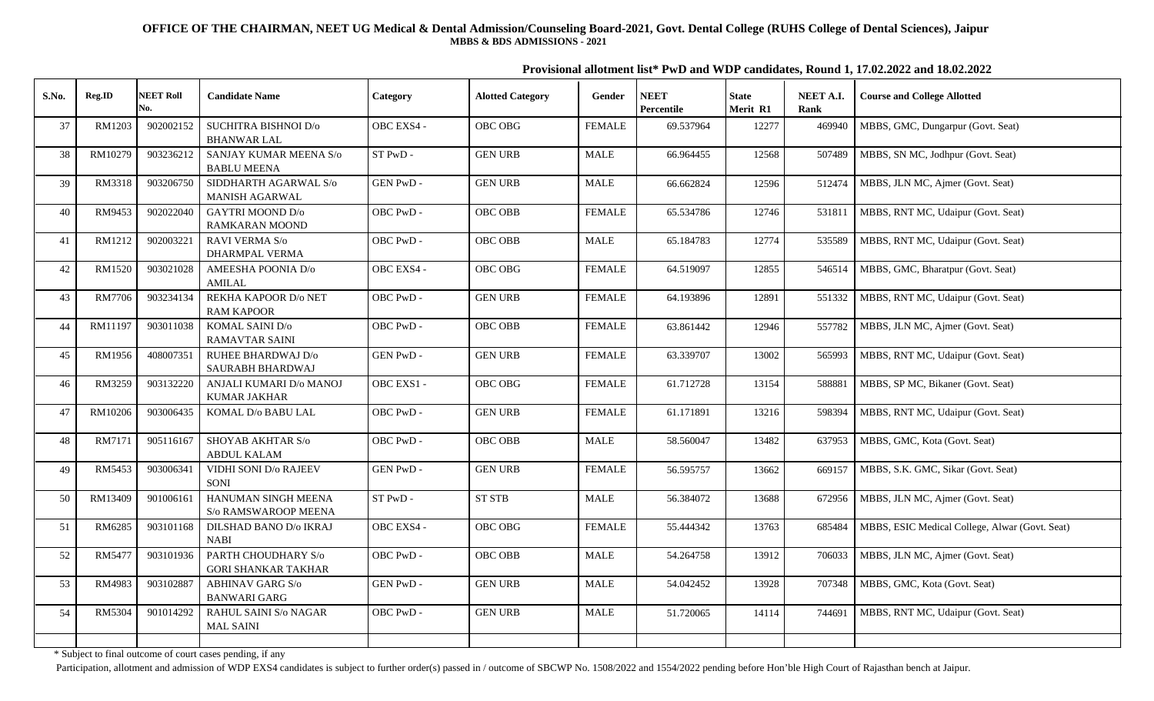**Provisional allotment list\* PwD and WDP candidates, Round 1, 17.02.2022 and 18.02.2022**

| <b>Course and College Allotted</b>             | NEET A.I.<br>Rank | <b>State</b><br>Merit R1 | <b>NEET</b><br>Percentile | Gender        | <b>Alotted Category</b> | Category        | <b>Candidate Name</b>                             | <b>NEET Roll</b><br>No. | Reg.ID        | S.No. |
|------------------------------------------------|-------------------|--------------------------|---------------------------|---------------|-------------------------|-----------------|---------------------------------------------------|-------------------------|---------------|-------|
| MBBS, GMC, Dungarpur (Govt. Seat)              | 469940            | 12277                    | 69.537964                 | <b>FEMALE</b> | OBC OBG                 | OBC EXS4 -      | SUCHITRA BISHNOI D/o<br><b>BHANWAR LAL</b>        | 902002152               | RM1203        | 37    |
| MBBS, SN MC, Jodhpur (Govt. Seat)              | 507489            | 12568                    | 66.964455                 | <b>MALE</b>   | <b>GEN URB</b>          | ST PwD -        | SANJAY KUMAR MEENA S/o<br><b>BABLU MEENA</b>      | 903236212               | RM10279       | 38    |
| MBBS, JLN MC, Ajmer (Govt. Seat)               | 512474            | 12596                    | 66.662824                 | <b>MALE</b>   | <b>GEN URB</b>          | <b>GEN PwD-</b> | SIDDHARTH AGARWAL S/o<br><b>MANISH AGARWAL</b>    | 903206750               | RM3318        | 39    |
| MBBS, RNT MC, Udaipur (Govt. Seat)             | 531811            | 12746                    | 65.534786                 | <b>FEMALE</b> | OBC OBB                 | OBC PwD -       | <b>GAYTRI MOOND D/o</b><br>RAMKARAN MOOND         | 902022040               | RM9453        | 40    |
| MBBS, RNT MC, Udaipur (Govt. Seat)             | 535589            | 12774                    | 65.184783                 | <b>MALE</b>   | OBC OBB                 | OBC PwD -       | RAVI VERMA S/o<br><b>DHARMPAL VERMA</b>           | 902003221               | RM1212        | 41    |
| MBBS, GMC, Bharatpur (Govt. Seat)              | 546514            | 12855                    | 64.519097                 | <b>FEMALE</b> | OBC OBG                 | OBC EXS4 -      | AMEESHA POONIA D/o<br><b>AMILAL</b>               | 903021028               | RM1520        | 42    |
| MBBS, RNT MC, Udaipur (Govt. Seat)             | 551332            | 12891                    | 64.193896                 | <b>FEMALE</b> | <b>GEN URB</b>          | OBC PwD -       | REKHA KAPOOR D/o NET<br><b>RAM KAPOOR</b>         | 903234134               | <b>RM7706</b> | 43    |
| MBBS, JLN MC, Ajmer (Govt. Seat)               | 557782            | 12946                    | 63.861442                 | <b>FEMALE</b> | OBC OBB                 | OBC PwD -       | KOMAL SAINI D/o<br><b>RAMAVTAR SAINI</b>          | 903011038               | RM11197       | 44    |
| MBBS, RNT MC, Udaipur (Govt. Seat)             | 565993            | 13002                    | 63.339707                 | <b>FEMALE</b> | <b>GEN URB</b>          | GEN PwD -       | RUHEE BHARDWAJ D/o<br>SAURABH BHARDWAJ            | 408007351               | RM1956        | 45    |
| MBBS, SP MC, Bikaner (Govt. Seat)              | 588881            | 13154                    | 61.712728                 | <b>FEMALE</b> | OBC OBG                 | OBC EXS1 -      | ANJALI KUMARI D/o MANOJ<br><b>KUMAR JAKHAR</b>    | 903132220               | RM3259        | 46    |
| MBBS, RNT MC, Udaipur (Govt. Seat)             | 598394            | 13216                    | 61.171891                 | <b>FEMALE</b> | <b>GEN URB</b>          | OBC PwD-        | KOMAL D/o BABU LAL                                | 903006435               | RM10206       | 47    |
| MBBS, GMC, Kota (Govt. Seat)                   | 637953            | 13482                    | 58.560047                 | <b>MALE</b>   | OBC OBB                 | OBC PwD-        | <b>SHOYAB AKHTAR S/o</b><br><b>ABDUL KALAM</b>    | 905116167               | RM7171        | 48    |
| MBBS, S.K. GMC, Sikar (Govt. Seat)             | 669157            | 13662                    | 56.595757                 | <b>FEMALE</b> | <b>GEN URB</b>          | <b>GEN PwD-</b> | VIDHI SONI D/o RAJEEV<br>SONI                     | 903006341               | RM5453        | 49    |
| MBBS, JLN MC, Ajmer (Govt. Seat)               | 672956            | 13688                    | 56.384072                 | <b>MALE</b>   | ST STB                  | ST PwD -        | HANUMAN SINGH MEENA<br>S/o RAMSWAROOP MEENA       | 901006161               | RM13409       | 50    |
| MBBS, ESIC Medical College, Alwar (Govt. Seat) | 685484            | 13763                    | 55.444342                 | <b>FEMALE</b> | <b>OBC OBG</b>          | OBC EXS4 -      | DILSHAD BANO D/o IKRAJ<br><b>NABI</b>             | 903101168               | RM6285        | 51    |
| MBBS, JLN MC, Ajmer (Govt. Seat)               | 706033            | 13912                    | 54.264758                 | <b>MALE</b>   | OBC OBB                 | OBC PwD-        | PARTH CHOUDHARY S/o<br><b>GORI SHANKAR TAKHAR</b> | 903101936               | RM5477        | 52    |
| MBBS, GMC, Kota (Govt. Seat)                   | 707348            | 13928                    | 54.042452                 | <b>MALE</b>   | <b>GEN URB</b>          | GEN PwD -       | <b>ABHINAV GARG S/o</b><br><b>BANWARI GARG</b>    | 903102887               | RM4983        | 53    |
| MBBS, RNT MC, Udaipur (Govt. Seat)             | 744691            | 14114                    | 51.720065                 | <b>MALE</b>   | <b>GEN URB</b>          | OBC PwD -       | <b>RAHUL SAINI S/o NAGAR</b><br><b>MAL SAINI</b>  | 901014292               | <b>RM5304</b> | 54    |
|                                                |                   |                          |                           |               |                         |                 |                                                   |                         |               |       |

\* Subject to final outcome of court cases pending, if any